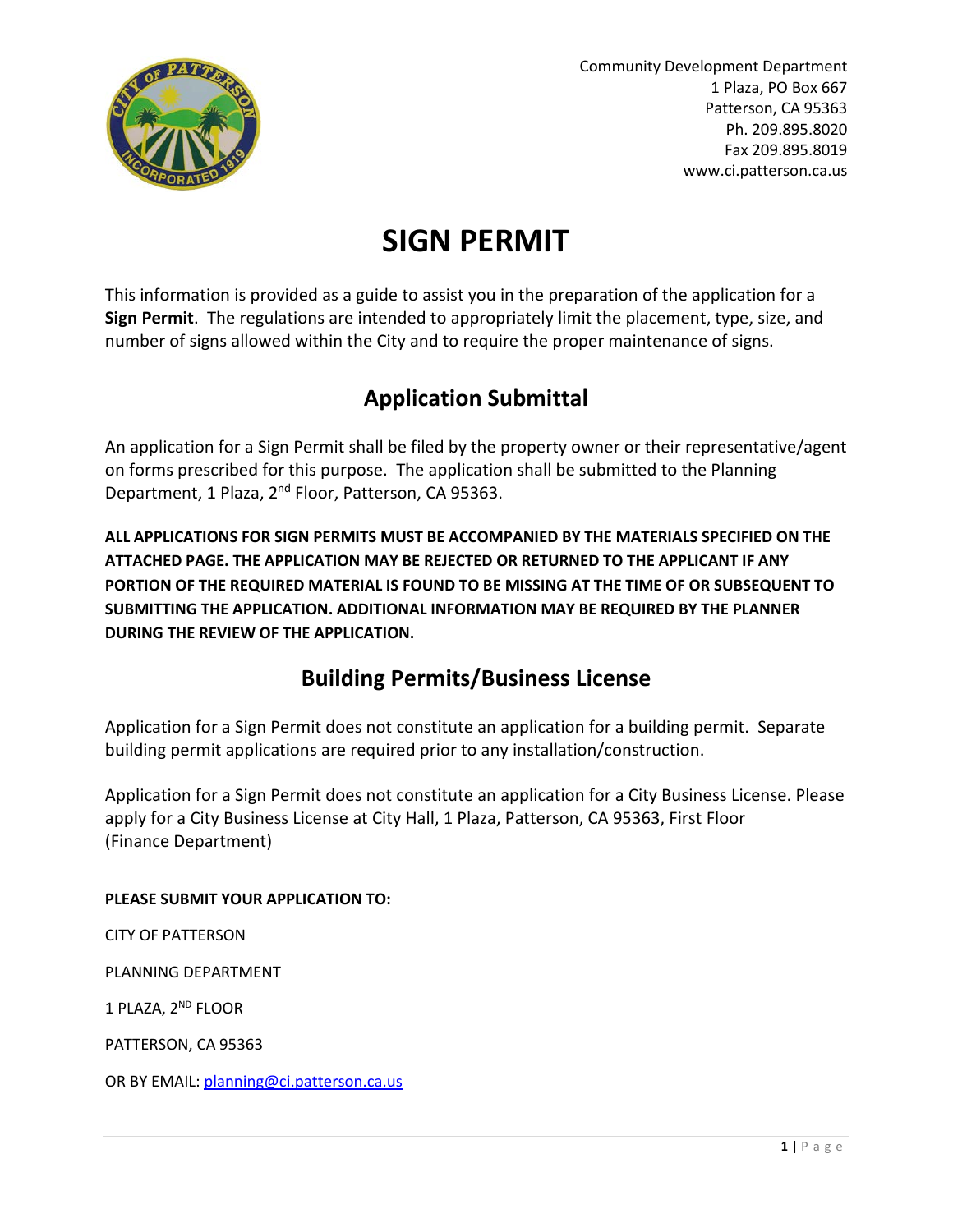

# **SIGN PERMIT**

This information is provided as a guide to assist you in the preparation of the application for a **Sign Permit**. The regulations are intended to appropriately limit the placement, type, size, and number of signs allowed within the City and to require the proper maintenance of signs.

# **Application Submittal**

An application for a Sign Permit shall be filed by the property owner or their representative/agent on forms prescribed for this purpose. The application shall be submitted to the Planning Department, 1 Plaza, 2<sup>nd</sup> Floor, Patterson, CA 95363.

**ALL APPLICATIONS FOR SIGN PERMITS MUST BE ACCOMPANIED BY THE MATERIALS SPECIFIED ON THE ATTACHED PAGE. THE APPLICATION MAY BE REJECTED OR RETURNED TO THE APPLICANT IF ANY PORTION OF THE REQUIRED MATERIAL IS FOUND TO BE MISSING AT THE TIME OF OR SUBSEQUENT TO SUBMITTING THE APPLICATION. ADDITIONAL INFORMATION MAY BE REQUIRED BY THE PLANNER DURING THE REVIEW OF THE APPLICATION.**

# **Building Permits/Business License**

Application for a Sign Permit does not constitute an application for a building permit. Separate building permit applications are required prior to any installation/construction.

Application for a Sign Permit does not constitute an application for a City Business License. Please apply for a City Business License at City Hall, 1 Plaza, Patterson, CA 95363, First Floor (Finance Department)

### **PLEASE SUBMIT YOUR APPLICATION TO:**

CITY OF PATTERSON

PLANNING DEPARTMENT

1 PLAZA, 2<sup>ND</sup> FLOOR

PATTERSON, CA 95363

OR BY EMAIL: [planning@ci.patterson.ca.us](mailto:planning@ci.patterson.ca.us)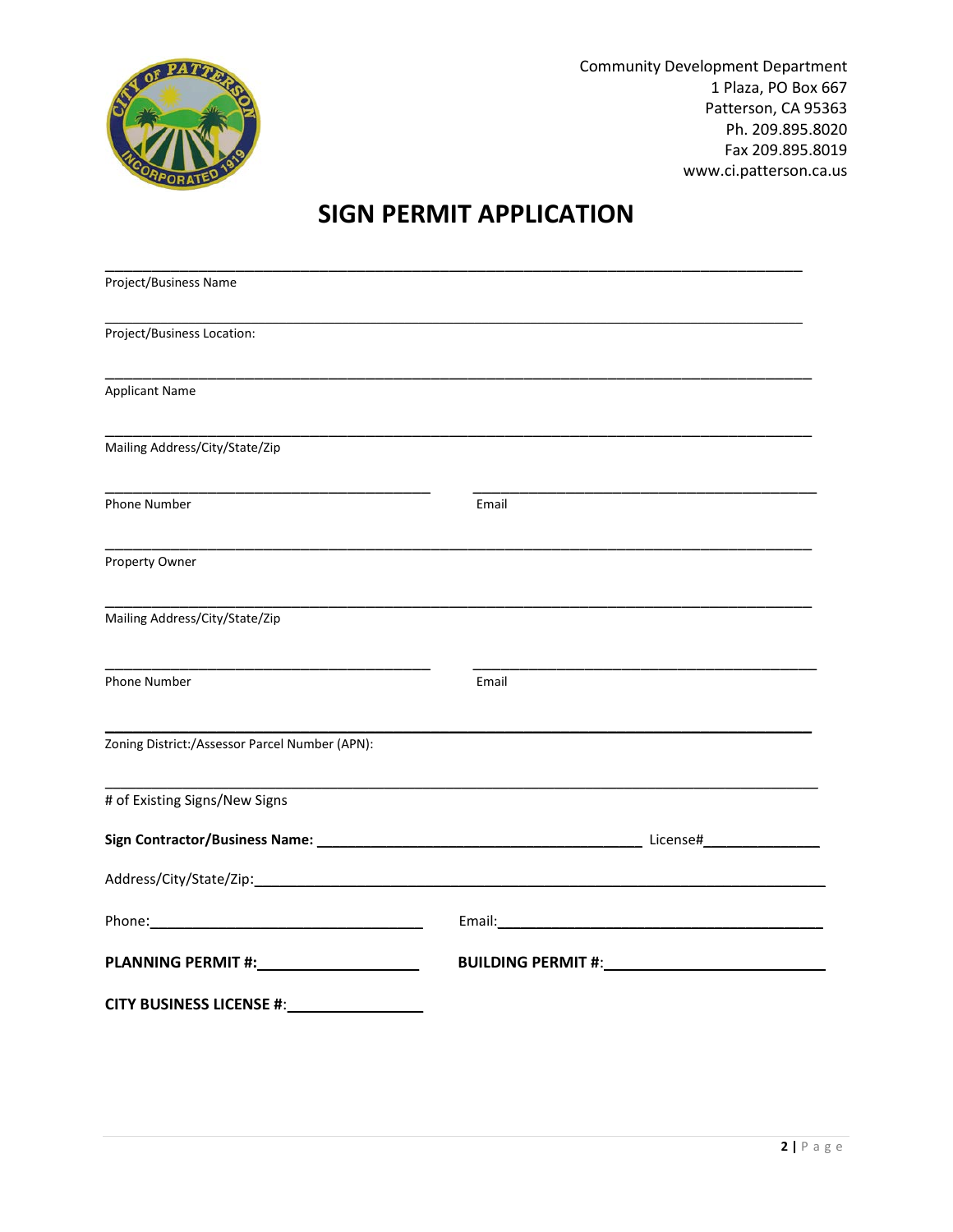

# **SIGN PERMIT APPLICATION**

| Project/Business Name                                                                                                                                                                                                                |                                                                                                                                                                                                                                |
|--------------------------------------------------------------------------------------------------------------------------------------------------------------------------------------------------------------------------------------|--------------------------------------------------------------------------------------------------------------------------------------------------------------------------------------------------------------------------------|
| Project/Business Location:                                                                                                                                                                                                           |                                                                                                                                                                                                                                |
| <b>Applicant Name</b>                                                                                                                                                                                                                |                                                                                                                                                                                                                                |
| Mailing Address/City/State/Zip                                                                                                                                                                                                       |                                                                                                                                                                                                                                |
| Phone Number                                                                                                                                                                                                                         | Email                                                                                                                                                                                                                          |
| Property Owner                                                                                                                                                                                                                       |                                                                                                                                                                                                                                |
| Mailing Address/City/State/Zip                                                                                                                                                                                                       |                                                                                                                                                                                                                                |
| Phone Number                                                                                                                                                                                                                         | Email                                                                                                                                                                                                                          |
| Zoning District:/Assessor Parcel Number (APN):                                                                                                                                                                                       |                                                                                                                                                                                                                                |
| # of Existing Signs/New Signs                                                                                                                                                                                                        |                                                                                                                                                                                                                                |
|                                                                                                                                                                                                                                      | Sign Contractor/Business Name: 1997 1997 1998 1999 1999 1999 1999 10: License#                                                                                                                                                 |
|                                                                                                                                                                                                                                      |                                                                                                                                                                                                                                |
| Phone: <u>contract and contract and contract and contract and contract and contract and contract and contract and contract and contract and contract and contract and contract and contract and contract and contract and contra</u> |                                                                                                                                                                                                                                |
| PLANNING PERMIT #: NAME AND THE STATE OF THE STATE OF THE STATE OF THE STATE OF THE STATE OF THE STATE OF THE                                                                                                                        | BUILDING PERMIT #: New York State State State State State State State State State State State State State State State State State State State State State State State State State State State State State State State State St |
|                                                                                                                                                                                                                                      |                                                                                                                                                                                                                                |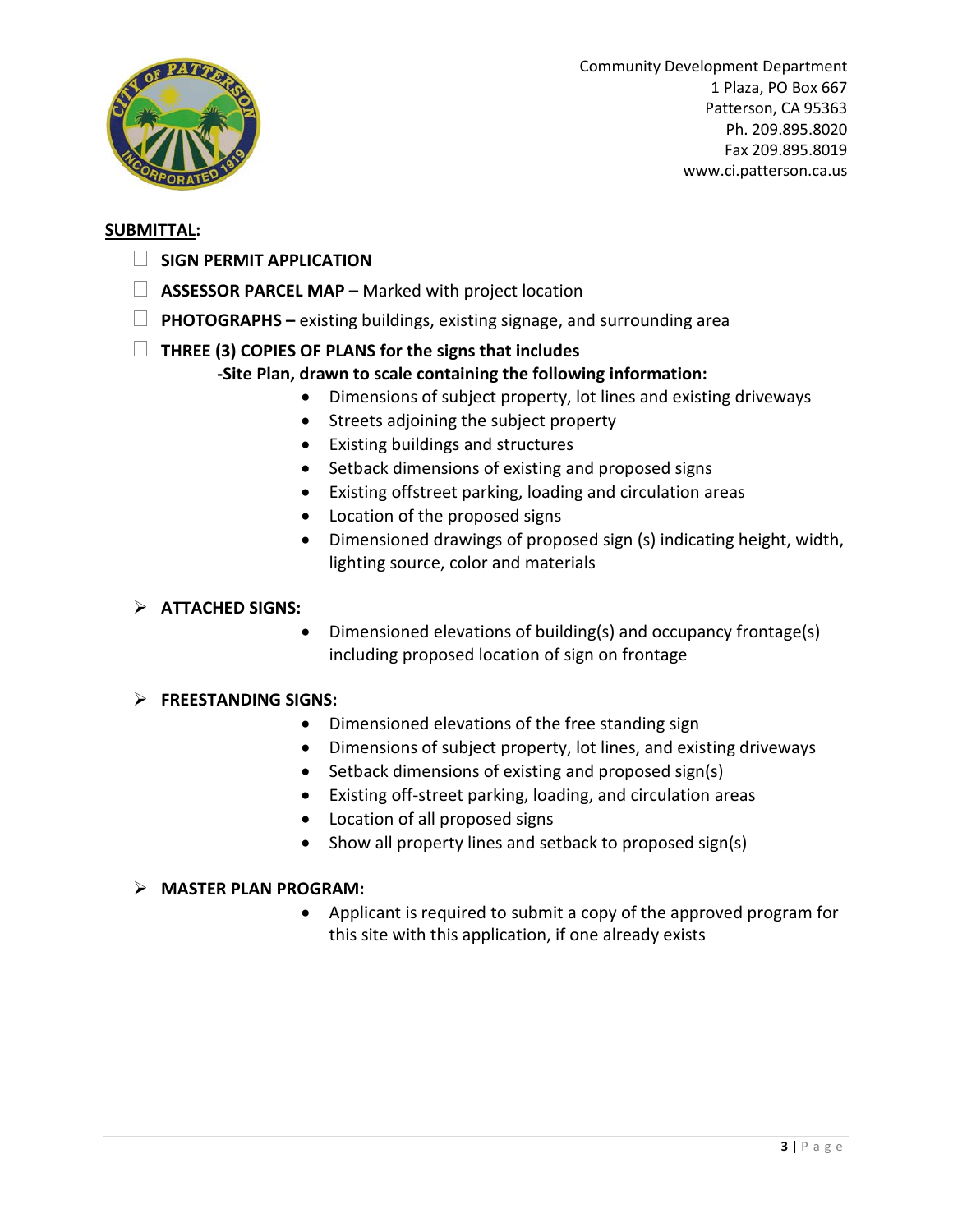

#### **SUBMITTAL:**

- **SIGN PERMIT APPLICATION**
- **ASSESSOR PARCEL MAP –** Marked with project location
- **PHOTOGRAPHS –** existing buildings, existing signage, and surrounding area

## **THREE (3) COPIES OF PLANS for the signs that includes**

## **-Site Plan, drawn to scale containing the following information:**

- Dimensions of subject property, lot lines and existing driveways
- Streets adjoining the subject property
- Existing buildings and structures
- Setback dimensions of existing and proposed signs
- Existing offstreet parking, loading and circulation areas
- Location of the proposed signs
- Dimensioned drawings of proposed sign (s) indicating height, width, lighting source, color and materials

### **ATTACHED SIGNS:**

• Dimensioned elevations of building(s) and occupancy frontage(s) including proposed location of sign on frontage

#### **FREESTANDING SIGNS:**

- Dimensioned elevations of the free standing sign
- Dimensions of subject property, lot lines, and existing driveways
- Setback dimensions of existing and proposed sign(s)
- Existing off-street parking, loading, and circulation areas
- Location of all proposed signs
- Show all property lines and setback to proposed sign(s)

#### **MASTER PLAN PROGRAM:**

• Applicant is required to submit a copy of the approved program for this site with this application, if one already exists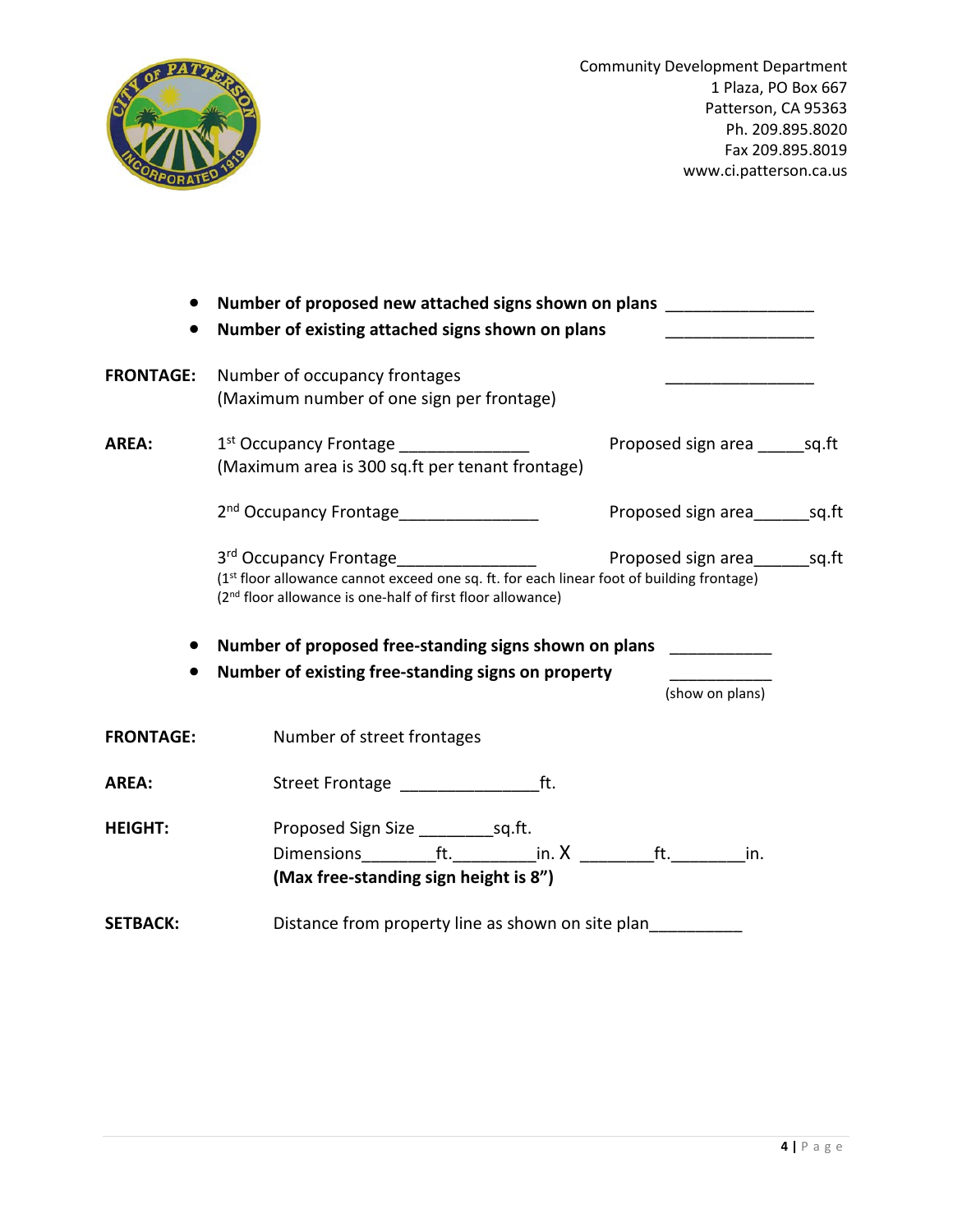

| $\bullet$        | Number of proposed new attached signs shown on plans ________________<br>Number of existing attached signs shown on plans                                                                                                 |                                         |  |
|------------------|---------------------------------------------------------------------------------------------------------------------------------------------------------------------------------------------------------------------------|-----------------------------------------|--|
| <b>FRONTAGE:</b> | Number of occupancy frontages<br>(Maximum number of one sign per frontage)                                                                                                                                                | <u> 1989 - Johann Barbara, martin a</u> |  |
| AREA:            | 1st Occupancy Frontage ________________<br>(Maximum area is 300 sq.ft per tenant frontage)                                                                                                                                | Proposed sign area ______ sq.ft         |  |
|                  | 2 <sup>nd</sup> Occupancy Frontage_________________                                                                                                                                                                       | Proposed sign area__________ sq.ft      |  |
|                  | 3rd Occupancy Frontage________________<br>(1 <sup>st</sup> floor allowance cannot exceed one sq. ft. for each linear foot of building frontage)<br>(2 <sup>nd</sup> floor allowance is one-half of first floor allowance) | Proposed sign area sq.ft                |  |
|                  | Number of proposed free-standing signs shown on plans __________                                                                                                                                                          |                                         |  |
| $\bullet$        | Number of existing free-standing signs on property                                                                                                                                                                        | (show on plans)                         |  |
| <b>FRONTAGE:</b> | Number of street frontages                                                                                                                                                                                                |                                         |  |
| <b>AREA:</b>     |                                                                                                                                                                                                                           |                                         |  |
| <b>HEIGHT:</b>   | Dimensions___________ft.____________in. X ____________ft._________<br>(Max free-standing sign height is 8")                                                                                                               | in.                                     |  |
| <b>SETBACK:</b>  | Distance from property line as shown on site plan                                                                                                                                                                         |                                         |  |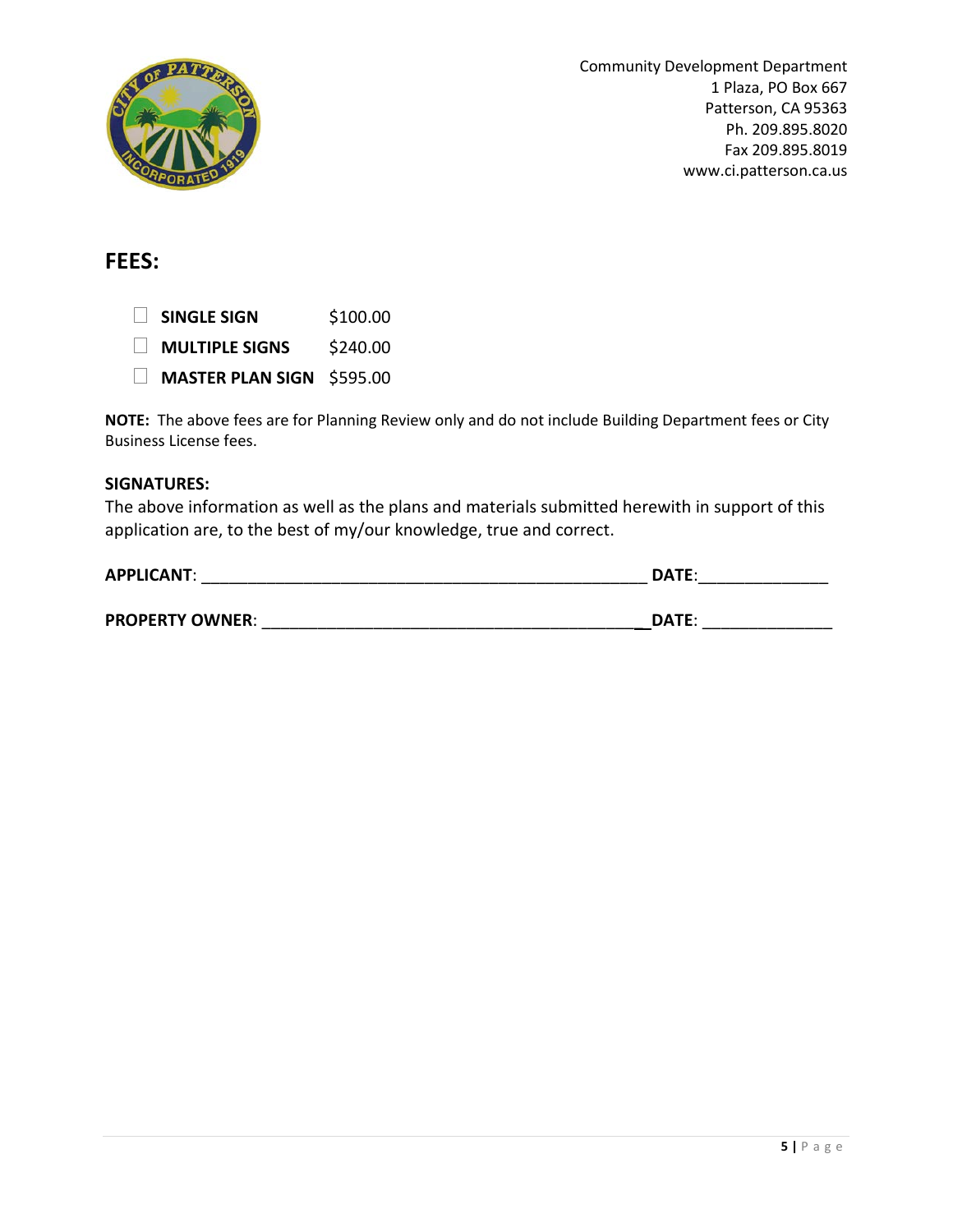

# **FEES:**

 **SINGLE SIGN** \$100.00 **MULTIPLE SIGNS** \$240.00 **MASTER PLAN SIGN** \$595.00

**NOTE:** The above fees are for Planning Review only and do not include Building Department fees or City Business License fees.

#### **SIGNATURES:**

The above information as well as the plans and materials submitted herewith in support of this application are, to the best of my/our knowledge, true and correct.

| <b>APPLICANT:</b>      | DATE:        |  |
|------------------------|--------------|--|
|                        |              |  |
| <b>PROPERTY OWNER:</b> | <b>DATE:</b> |  |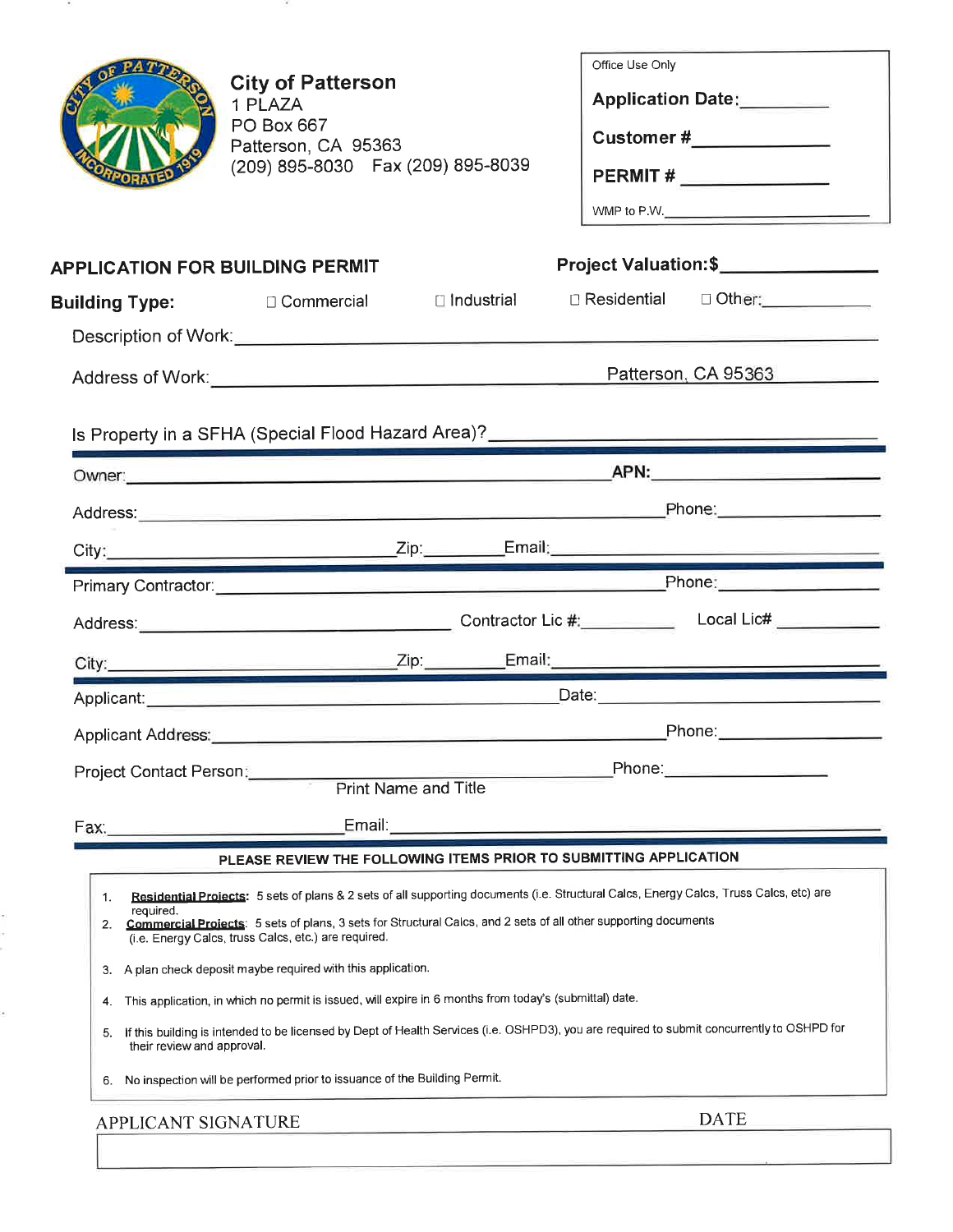|                                                                             | <b>City of Patterson</b><br>1 PLAZA<br>PO Box 667<br>Patterson, CA 95363<br>(209) 895-8030  Fax (209) 895-8039                                                                                                                                                                                                                                                                                                                                                                                                                                                                                                                                                                                                                                                                            | Office Use Only<br>Application Date:<br><u> </u><br>Customer #______________<br>PERMIT #________________<br>WMP to P.W. $\qquad \qquad \qquad$                                                                                       |
|-----------------------------------------------------------------------------|-------------------------------------------------------------------------------------------------------------------------------------------------------------------------------------------------------------------------------------------------------------------------------------------------------------------------------------------------------------------------------------------------------------------------------------------------------------------------------------------------------------------------------------------------------------------------------------------------------------------------------------------------------------------------------------------------------------------------------------------------------------------------------------------|--------------------------------------------------------------------------------------------------------------------------------------------------------------------------------------------------------------------------------------|
|                                                                             | <b>APPLICATION FOR BUILDING PERMIT</b>                                                                                                                                                                                                                                                                                                                                                                                                                                                                                                                                                                                                                                                                                                                                                    | Project Valuation:\$_________________                                                                                                                                                                                                |
|                                                                             |                                                                                                                                                                                                                                                                                                                                                                                                                                                                                                                                                                                                                                                                                                                                                                                           |                                                                                                                                                                                                                                      |
|                                                                             |                                                                                                                                                                                                                                                                                                                                                                                                                                                                                                                                                                                                                                                                                                                                                                                           |                                                                                                                                                                                                                                      |
|                                                                             |                                                                                                                                                                                                                                                                                                                                                                                                                                                                                                                                                                                                                                                                                                                                                                                           | Patterson, CA 95363                                                                                                                                                                                                                  |
|                                                                             |                                                                                                                                                                                                                                                                                                                                                                                                                                                                                                                                                                                                                                                                                                                                                                                           | Is Property in a SFHA (Special Flood Hazard Area)?<br>The Communication of the Communication of the Communication of the Communication of the Communication of the C                                                                 |
|                                                                             |                                                                                                                                                                                                                                                                                                                                                                                                                                                                                                                                                                                                                                                                                                                                                                                           |                                                                                                                                                                                                                                      |
|                                                                             |                                                                                                                                                                                                                                                                                                                                                                                                                                                                                                                                                                                                                                                                                                                                                                                           | Phone: 2004                                                                                                                                                                                                                          |
|                                                                             |                                                                                                                                                                                                                                                                                                                                                                                                                                                                                                                                                                                                                                                                                                                                                                                           |                                                                                                                                                                                                                                      |
|                                                                             |                                                                                                                                                                                                                                                                                                                                                                                                                                                                                                                                                                                                                                                                                                                                                                                           |                                                                                                                                                                                                                                      |
|                                                                             |                                                                                                                                                                                                                                                                                                                                                                                                                                                                                                                                                                                                                                                                                                                                                                                           |                                                                                                                                                                                                                                      |
|                                                                             |                                                                                                                                                                                                                                                                                                                                                                                                                                                                                                                                                                                                                                                                                                                                                                                           |                                                                                                                                                                                                                                      |
|                                                                             |                                                                                                                                                                                                                                                                                                                                                                                                                                                                                                                                                                                                                                                                                                                                                                                           | Applicant: <u>Contract Contract Contract Contract Contract Contract Contract Contract Contract Contract Contract Contract Contract Contract Contract Contract Contract Contract Contract Contract Contract Contract Contract Con</u> |
| Applicant Address:                                                          | <u> 1989 - Andrej Maria Maria Maria Maria Maria Maria Maria Maria Maria Maria Maria Maria Maria Maria Maria Mari</u>                                                                                                                                                                                                                                                                                                                                                                                                                                                                                                                                                                                                                                                                      | _Phone:____________________                                                                                                                                                                                                          |
| Project Contact Person:                                                     |                                                                                                                                                                                                                                                                                                                                                                                                                                                                                                                                                                                                                                                                                                                                                                                           | Phone:                                                                                                                                                                                                                               |
|                                                                             | <b>Print Name and Title</b>                                                                                                                                                                                                                                                                                                                                                                                                                                                                                                                                                                                                                                                                                                                                                               |                                                                                                                                                                                                                                      |
| Fax:                                                                        | Email:                                                                                                                                                                                                                                                                                                                                                                                                                                                                                                                                                                                                                                                                                                                                                                                    |                                                                                                                                                                                                                                      |
| 1.<br>required.<br>2.<br>3.<br>4.<br>5.<br>their review and approval.<br>6. | PLEASE REVIEW THE FOLLOWING ITEMS PRIOR TO SUBMITTING APPLICATION<br>Residential Projects: 5 sets of plans & 2 sets of all supporting documents (i.e. Structural Calcs, Energy Calcs, Truss Calcs, etc) are<br>Commercial Projects: 5 sets of plans, 3 sets for Structural Calcs, and 2 sets of all other supporting documents<br>(i.e. Energy Calcs, truss Calcs, etc.) are required.<br>A plan check deposit maybe required with this application.<br>This application, in which no permit is issued, will expire in 6 months from today's (submittal) date.<br>If this building is intended to be licensed by Dept of Health Services (i.e. OSHPD3), you are required to submit concurrently to OSHPD for<br>No inspection will be performed prior to issuance of the Building Permit. |                                                                                                                                                                                                                                      |
|                                                                             | APPLICANT SIGNATURE                                                                                                                                                                                                                                                                                                                                                                                                                                                                                                                                                                                                                                                                                                                                                                       | <b>DATE</b>                                                                                                                                                                                                                          |